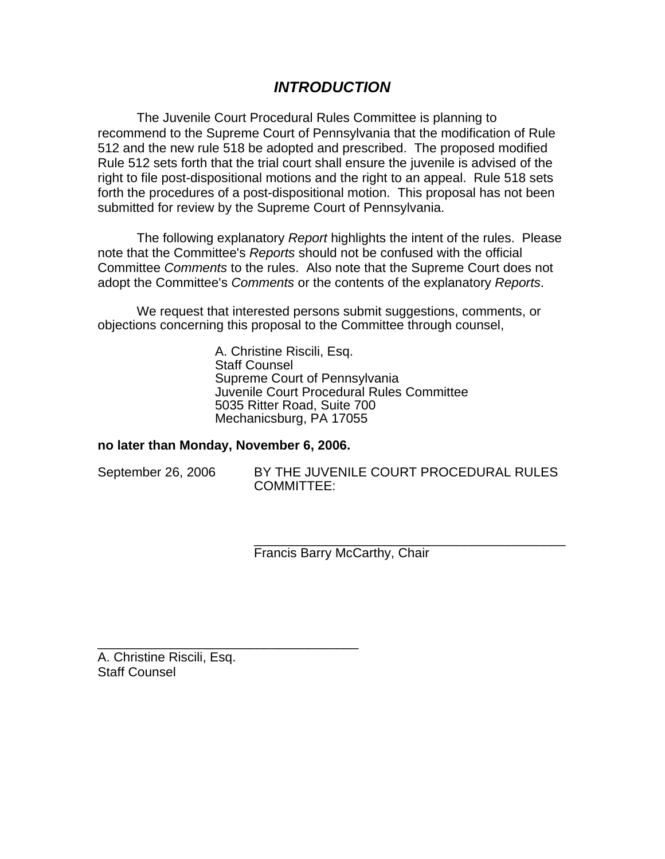# *INTRODUCTION*

The Juvenile Court Procedural Rules Committee is planning to recommend to the Supreme Court of Pennsylvania that the modification of Rule 512 and the new rule 518 be adopted and prescribed. The proposed modified Rule 512 sets forth that the trial court shall ensure the juvenile is advised of the right to file post-dispositional motions and the right to an appeal. Rule 518 sets forth the procedures of a post-dispositional motion. This proposal has not been submitted for review by the Supreme Court of Pennsylvania.

The following explanatory *Report* highlights the intent of the rules. Please note that the Committee's *Reports* should not be confused with the official Committee *Comments* to the rules. Also note that the Supreme Court does not adopt the Committee's *Comments* or the contents of the explanatory *Reports*.

We request that interested persons submit suggestions, comments, or objections concerning this proposal to the Committee through counsel,

> A. Christine Riscili, Esq. Staff Counsel Supreme Court of Pennsylvania Juvenile Court Procedural Rules Committee 5035 Ritter Road, Suite 700 Mechanicsburg, PA 17055

# **no later than Monday, November 6, 2006.**

\_\_\_\_\_\_\_\_\_\_\_\_\_\_\_\_\_\_\_\_\_\_\_\_\_\_\_\_\_\_\_\_\_\_\_\_

| September 26, 2006 |  |  |
|--------------------|--|--|
|--------------------|--|--|

BY THE JUVENILE COURT PROCEDURAL RULES COMMITTEE:

\_\_\_\_\_\_\_\_\_\_\_\_\_\_\_\_\_\_\_\_\_\_\_\_\_\_\_\_\_\_\_\_\_\_\_\_\_\_\_\_\_\_\_ Francis Barry McCarthy, Chair

A. Christine Riscili, Esq. Staff Counsel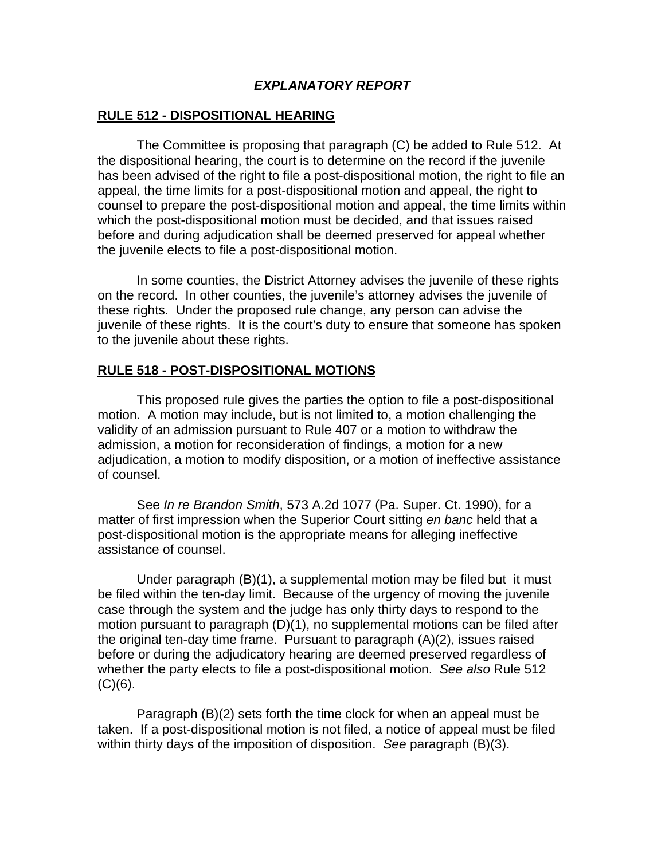# *EXPLANATORY REPORT*

# **RULE 512 - DISPOSITIONAL HEARING**

 The Committee is proposing that paragraph (C) be added to Rule 512. At the dispositional hearing, the court is to determine on the record if the juvenile has been advised of the right to file a post-dispositional motion, the right to file an appeal, the time limits for a post-dispositional motion and appeal, the right to counsel to prepare the post-dispositional motion and appeal, the time limits within which the post-dispositional motion must be decided, and that issues raised before and during adjudication shall be deemed preserved for appeal whether the juvenile elects to file a post-dispositional motion.

 In some counties, the District Attorney advises the juvenile of these rights on the record. In other counties, the juvenile's attorney advises the juvenile of these rights. Under the proposed rule change, any person can advise the juvenile of these rights. It is the court's duty to ensure that someone has spoken to the juvenile about these rights.

### **RULE 518 - POST-DISPOSITIONAL MOTIONS**

 This proposed rule gives the parties the option to file a post-dispositional motion. A motion may include, but is not limited to, a motion challenging the validity of an admission pursuant to Rule 407 or a motion to withdraw the admission, a motion for reconsideration of findings, a motion for a new adjudication, a motion to modify disposition, or a motion of ineffective assistance of counsel.

 See *In re Brandon Smith*, 573 A.2d 1077 (Pa. Super. Ct. 1990), for a matter of first impression when the Superior Court sitting *en banc* held that a post-dispositional motion is the appropriate means for alleging ineffective assistance of counsel.

 Under paragraph (B)(1), a supplemental motion may be filed but it must be filed within the ten-day limit. Because of the urgency of moving the juvenile case through the system and the judge has only thirty days to respond to the motion pursuant to paragraph (D)(1), no supplemental motions can be filed after the original ten-day time frame. Pursuant to paragraph (A)(2), issues raised before or during the adjudicatory hearing are deemed preserved regardless of whether the party elects to file a post-dispositional motion. *See also* Rule 512  $(C)(6)$ .

 Paragraph (B)(2) sets forth the time clock for when an appeal must be taken. If a post-dispositional motion is not filed, a notice of appeal must be filed within thirty days of the imposition of disposition. *See* paragraph (B)(3).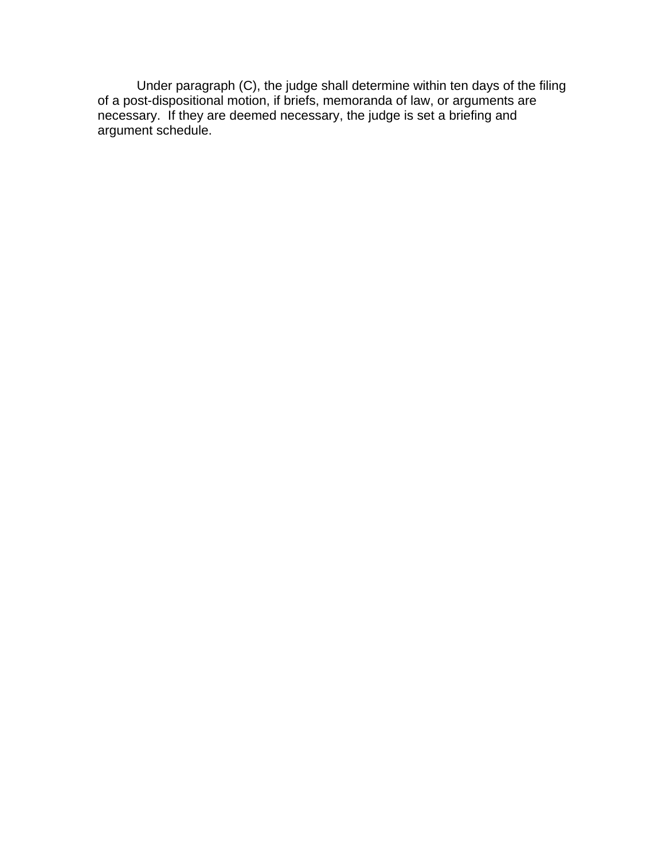Under paragraph (C), the judge shall determine within ten days of the filing of a post-dispositional motion, if briefs, memoranda of law, or arguments are necessary. If they are deemed necessary, the judge is set a briefing and argument schedule.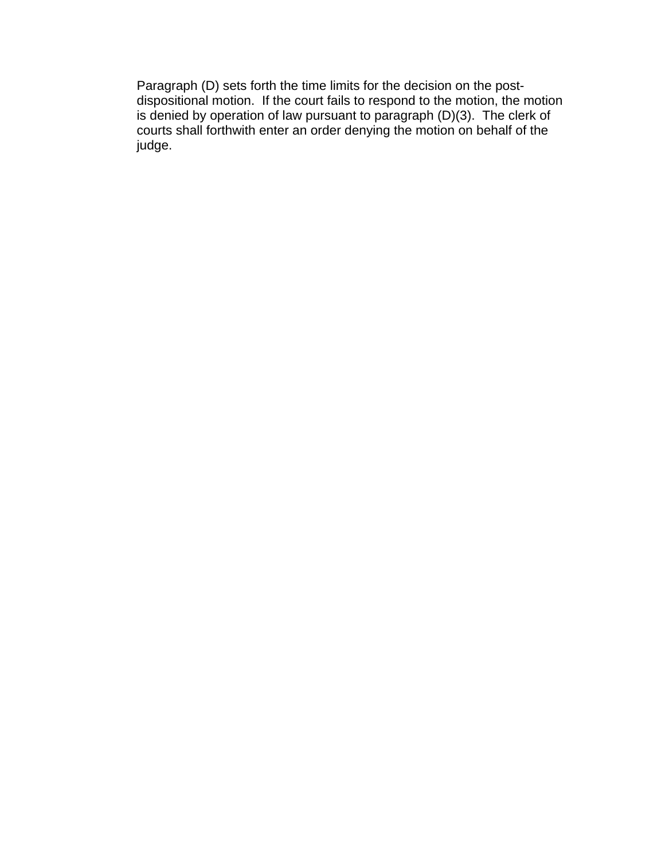Paragraph (D) sets forth the time limits for the decision on the postdispositional motion. If the court fails to respond to the motion, the motion is denied by operation of law pursuant to paragraph (D)(3). The clerk of courts shall forthwith enter an order denying the motion on behalf of the judge.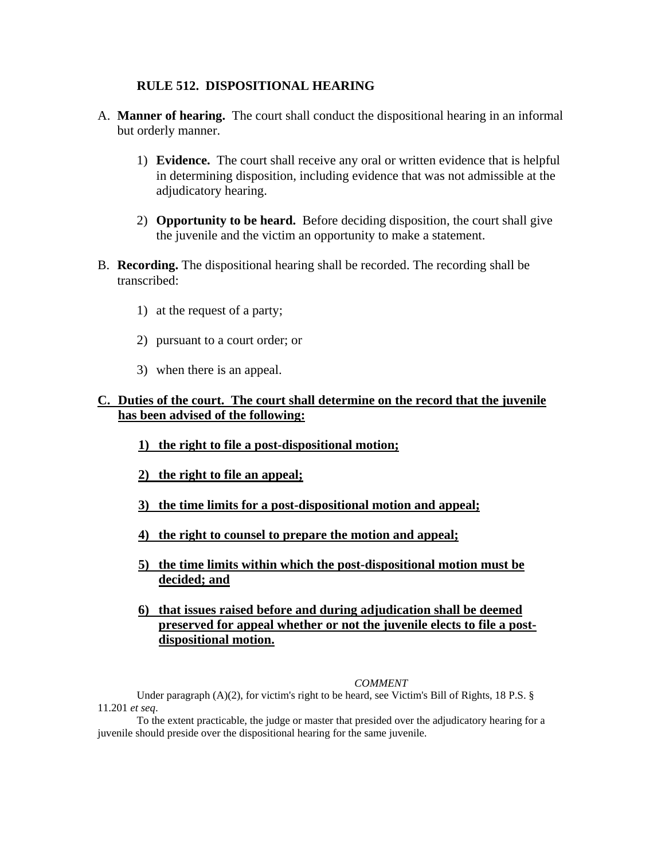#### **RULE 512. DISPOSITIONAL HEARING**

- A. **Manner of hearing.** The court shall conduct the dispositional hearing in an informal but orderly manner.
	- 1) **Evidence.** The court shall receive any oral or written evidence that is helpful in determining disposition, including evidence that was not admissible at the adjudicatory hearing.
	- 2) **Opportunity to be heard.** Before deciding disposition, the court shall give the juvenile and the victim an opportunity to make a statement.
- B. **Recording.** The dispositional hearing shall be recorded. The recording shall be transcribed:
	- 1) at the request of a party;
	- 2) pursuant to a court order; or
	- 3) when there is an appeal.

# **C. Duties of the court. The court shall determine on the record that the juvenile has been advised of the following:**

- **1) the right to file a post-dispositional motion;**
- **2) the right to file an appeal;**
- **3) the time limits for a post-dispositional motion and appeal;**
- **4) the right to counsel to prepare the motion and appeal;**
- **5) the time limits within which the post-dispositional motion must be decided; and**
- **6) that issues raised before and during adjudication shall be deemed preserved for appeal whether or not the juvenile elects to file a postdispositional motion.**

#### *COMMENT*

Under paragraph (A)(2), for victim's right to be heard, see Victim's Bill of Rights, 18 P.S. § 11.201 *et seq*.

To the extent practicable, the judge or master that presided over the adjudicatory hearing for a juvenile should preside over the dispositional hearing for the same juvenile.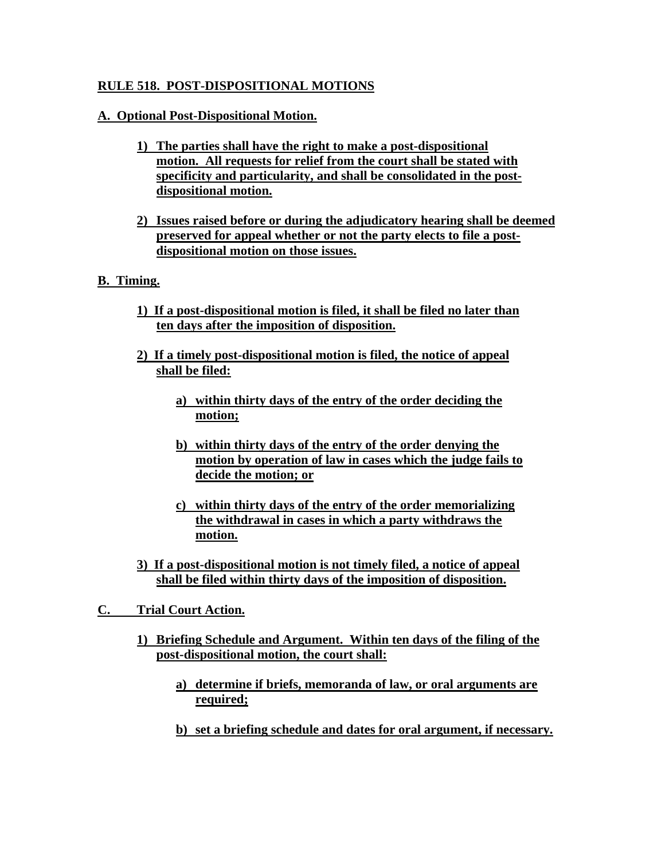# **RULE 518. POST-DISPOSITIONAL MOTIONS**

# **A. Optional Post-Dispositional Motion.**

- **1) The parties shall have the right to make a post-dispositional motion. All requests for relief from the court shall be stated with specificity and particularity, and shall be consolidated in the postdispositional motion.**
- **2) Issues raised before or during the adjudicatory hearing shall be deemed preserved for appeal whether or not the party elects to file a postdispositional motion on those issues.**

# **B. Timing.**

- **1) If a post-dispositional motion is filed, it shall be filed no later than ten days after the imposition of disposition.**
- **2) If a timely post-dispositional motion is filed, the notice of appeal shall be filed:**
	- **a) within thirty days of the entry of the order deciding the motion;**
	- **b) within thirty days of the entry of the order denying the motion by operation of law in cases which the judge fails to decide the motion; or**
	- **c) within thirty days of the entry of the order memorializing the withdrawal in cases in which a party withdraws the motion.**
- **3) If a post-dispositional motion is not timely filed, a notice of appeal shall be filed within thirty days of the imposition of disposition.**
- **C. Trial Court Action.**
	- **1) Briefing Schedule and Argument. Within ten days of the filing of the post-dispositional motion, the court shall:**
		- **a) determine if briefs, memoranda of law, or oral arguments are required;**
		- **b) set a briefing schedule and dates for oral argument, if necessary.**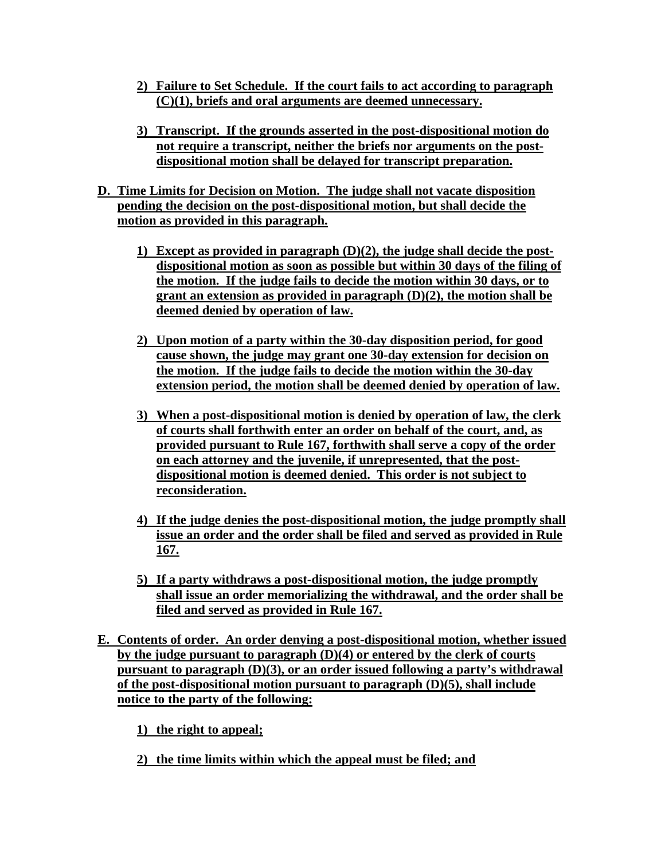- **2) Failure to Set Schedule. If the court fails to act according to paragraph (C)(1), briefs and oral arguments are deemed unnecessary.**
- **3) Transcript. If the grounds asserted in the post-dispositional motion do not require a transcript, neither the briefs nor arguments on the postdispositional motion shall be delayed for transcript preparation.**
- **D. Time Limits for Decision on Motion. The judge shall not vacate disposition pending the decision on the post-dispositional motion, but shall decide the motion as provided in this paragraph.**
	- **1) Except as provided in paragraph (D)(2), the judge shall decide the postdispositional motion as soon as possible but within 30 days of the filing of the motion. If the judge fails to decide the motion within 30 days, or to grant an extension as provided in paragraph (D)(2), the motion shall be deemed denied by operation of law.**
	- **2) Upon motion of a party within the 30-day disposition period, for good cause shown, the judge may grant one 30-day extension for decision on the motion. If the judge fails to decide the motion within the 30-day extension period, the motion shall be deemed denied by operation of law.**
	- **3) When a post-dispositional motion is denied by operation of law, the clerk of courts shall forthwith enter an order on behalf of the court, and, as provided pursuant to Rule 167, forthwith shall serve a copy of the order on each attorney and the juvenile, if unrepresented, that the postdispositional motion is deemed denied. This order is not subject to reconsideration.**
	- **4) If the judge denies the post-dispositional motion, the judge promptly shall issue an order and the order shall be filed and served as provided in Rule 167.**
	- **5) If a party withdraws a post-dispositional motion, the judge promptly shall issue an order memorializing the withdrawal, and the order shall be filed and served as provided in Rule 167.**
- **E. Contents of order. An order denying a post-dispositional motion, whether issued by the judge pursuant to paragraph (D)(4) or entered by the clerk of courts pursuant to paragraph (D)(3), or an order issued following a party's withdrawal of the post-dispositional motion pursuant to paragraph (D)(5), shall include notice to the party of the following:**

**1) the right to appeal;**

**2) the time limits within which the appeal must be filed; and**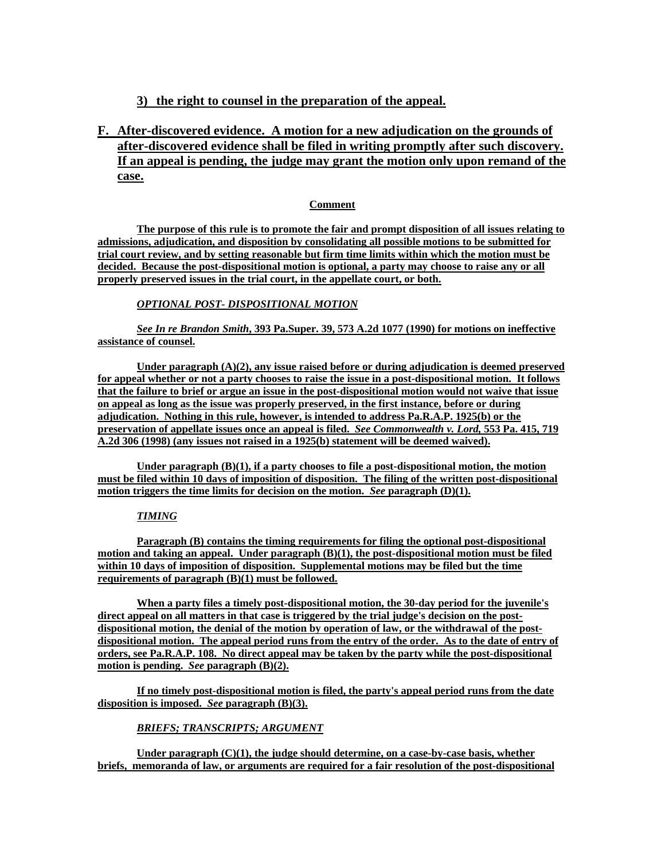# **3) the right to counsel in the preparation of the appeal.**

**F. After-discovered evidence. A motion for a new adjudication on the grounds of after-discovered evidence shall be filed in writing promptly after such discovery. If an appeal is pending, the judge may grant the motion only upon remand of the case.**

#### **Comment**

**The purpose of this rule is to promote the fair and prompt disposition of all issues relating to admissions, adjudication, and disposition by consolidating all possible motions to be submitted for trial court review, and by setting reasonable but firm time limits within which the motion must be decided. Because the post-dispositional motion is optional, a party may choose to raise any or all properly preserved issues in the trial court, in the appellate court, or both.**

#### *OPTIONAL POST- DISPOSITIONAL MOTION*

*See In re Brandon Smith***, 393 Pa.Super. 39, 573 A.2d 1077 (1990) for motions on ineffective assistance of counsel.**

**Under paragraph (A)(2), any issue raised before or during adjudication is deemed preserved for appeal whether or not a party chooses to raise the issue in a post-dispositional motion. It follows that the failure to brief or argue an issue in the post-dispositional motion would not waive that issue on appeal as long as the issue was properly preserved, in the first instance, before or during adjudication. Nothing in this rule, however, is intended to address Pa.R.A.P. 1925(b) or the preservation of appellate issues once an appeal is filed.** *See Commonwealth v. Lord,* **553 Pa. 415, 719 A.2d 306 (1998) (any issues not raised in a 1925(b) statement will be deemed waived).**

**Under paragraph (B)(1), if a party chooses to file a post-dispositional motion, the motion must be filed within 10 days of imposition of disposition. The filing of the written post-dispositional motion triggers the time limits for decision on the motion.** *See* **paragraph (D)(1).**

#### *TIMING*

**Paragraph (B) contains the timing requirements for filing the optional post-dispositional motion and taking an appeal. Under paragraph (B)(1), the post-dispositional motion must be filed within 10 days of imposition of disposition. Supplemental motions may be filed but the time requirements of paragraph (B)(1) must be followed.**

**When a party files a timely post-dispositional motion, the 30-day period for the juvenile's direct appeal on all matters in that case is triggered by the trial judge's decision on the postdispositional motion, the denial of the motion by operation of law, or the withdrawal of the postdispositional motion. The appeal period runs from the entry of the order. As to the date of entry of orders, see Pa.R.A.P. 108. No direct appeal may be taken by the party while the post-dispositional motion is pending.** *See* **paragraph (B)(2).** 

**If no timely post-dispositional motion is filed, the party's appeal period runs from the date disposition is imposed.** *See* **paragraph (B)(3).** 

#### *BRIEFS; TRANSCRIPTS; ARGUMENT*

Under paragraph (C)(1), the judge should determine, on a case-by-case basis, whether **briefs, memoranda of law, or arguments are required for a fair resolution of the post-dispositional**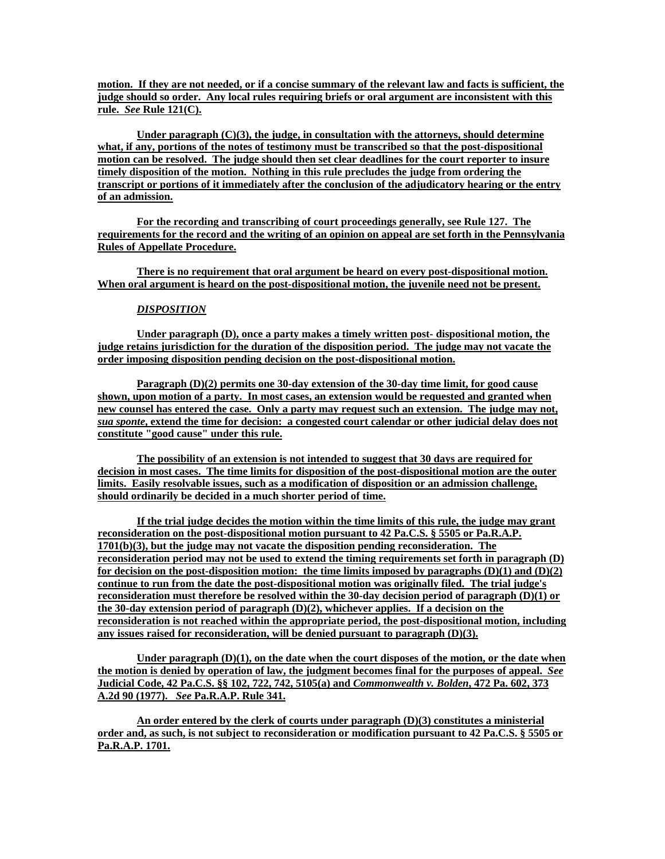**motion. If they are not needed, or if a concise summary of the relevant law and facts is sufficient, the judge should so order. Any local rules requiring briefs or oral argument are inconsistent with this rule.** *See* **Rule 121(C).**

**Under paragraph (C)(3), the judge, in consultation with the attorneys, should determine what, if any, portions of the notes of testimony must be transcribed so that the post-dispositional motion can be resolved. The judge should then set clear deadlines for the court reporter to insure timely disposition of the motion. Nothing in this rule precludes the judge from ordering the transcript or portions of it immediately after the conclusion of the adjudicatory hearing or the entry of an admission.**

**For the recording and transcribing of court proceedings generally, see Rule 127. The requirements for the record and the writing of an opinion on appeal are set forth in the Pennsylvania Rules of Appellate Procedure.**

**There is no requirement that oral argument be heard on every post-dispositional motion. When oral argument is heard on the post-dispositional motion, the juvenile need not be present.**

#### *DISPOSITION*

**Under paragraph (D), once a party makes a timely written post- dispositional motion, the judge retains jurisdiction for the duration of the disposition period. The judge may not vacate the order imposing disposition pending decision on the post-dispositional motion.** 

**Paragraph (D)(2) permits one 30-day extension of the 30-day time limit, for good cause shown, upon motion of a party. In most cases, an extension would be requested and granted when new counsel has entered the case. Only a party may request such an extension. The judge may not,**  *sua sponte***, extend the time for decision: a congested court calendar or other judicial delay does not constitute "good cause" under this rule.**

**The possibility of an extension is not intended to suggest that 30 days are required for decision in most cases. The time limits for disposition of the post-dispositional motion are the outer limits. Easily resolvable issues, such as a modification of disposition or an admission challenge, should ordinarily be decided in a much shorter period of time.**

**If the trial judge decides the motion within the time limits of this rule, the judge may grant reconsideration on the post-dispositional motion pursuant to 42 Pa.C.S. § 5505 or Pa.R.A.P. 1701(b)(3), but the judge may not vacate the disposition pending reconsideration. The reconsideration period may not be used to extend the timing requirements set forth in paragraph (D)**  for decision on the post-disposition motion: the time limits imposed by paragraphs  $(D)(1)$  and  $(D)(2)$ **continue to run from the date the post-dispositional motion was originally filed. The trial judge's reconsideration must therefore be resolved within the 30-day decision period of paragraph (D)(1) or the 30-day extension period of paragraph (D)(2), whichever applies. If a decision on the reconsideration is not reached within the appropriate period, the post-dispositional motion, including any issues raised for reconsideration, will be denied pursuant to paragraph (D)(3).**

**Under paragraph (D)(1), on the date when the court disposes of the motion, or the date when the motion is denied by operation of law, the judgment becomes final for the purposes of appeal.** *See* **Judicial Code, 42 Pa.C.S. §§ 102, 722, 742, 5105(a) and** *Commonwealth v. Bolden***, 472 Pa. 602, 373 A.2d 90 (1977).** *See* **Pa.R.A.P. Rule 341.**

**An order entered by the clerk of courts under paragraph (D)(3) constitutes a ministerial order and, as such, is not subject to reconsideration or modification pursuant to 42 Pa.C.S. § 5505 or Pa.R.A.P. 1701.**